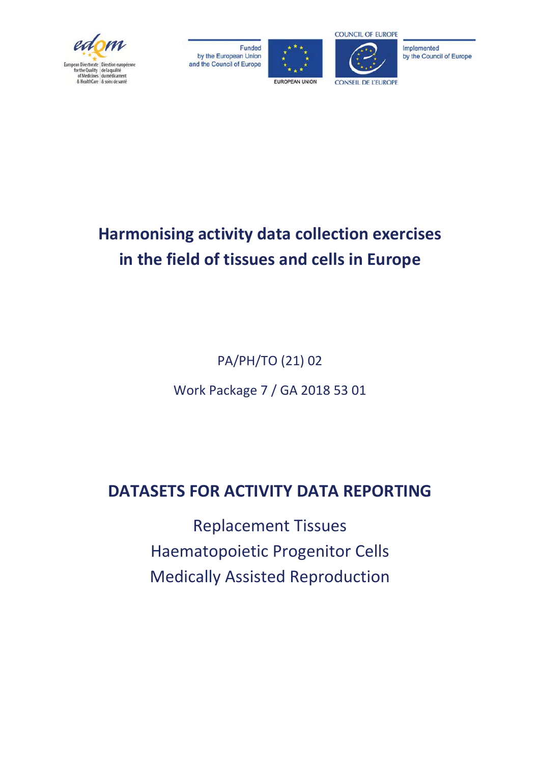

Funded by the European Union and the Council of Europe



**COUNCIL OF EUROPE** 

Implemented by the Council of Europe

# **Harmonising activity data collection exercises** in the field of tissues and cells in Europe

PA/PH/TO (21) 02

Work Package 7 / GA 2018 53 01

## **DATASETS FOR ACTIVITY DATA REPORTING**

Replacement Tissues Haematopoietic Progenitor Cells Medically Assisted Reproduction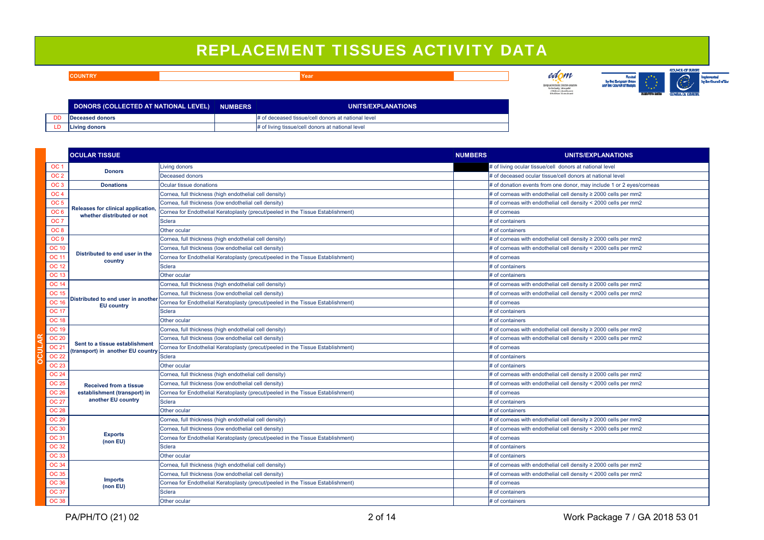### REPLACEMENT TISSUES ACTIVITY DATA

edom **COUNTRYYear and the contract of the contract of the contract of the contract of the contract of the contract of the contract of the contract of the contract of the contract of the contract of the contract of the contract of the** Pended<br>In the Burgean Union<br>And the Council of Human .<br>Directorate: Direction earsy<br>ENhelicoves: diamedicames **DONORS (COLLECTED AT NATIONAL LEVEL) NUMBERS UNITS/EXPLANATIONS**

> # of deceased tissue/cell donors at national level # of living tissue/cell donors at national level

|                 | <b>OCULAR TISSUE</b>                                             |                                                                                 | <b>NUMBERS</b> | UNITS/EXPLANATIONS                                                   |
|-----------------|------------------------------------------------------------------|---------------------------------------------------------------------------------|----------------|----------------------------------------------------------------------|
| OC 1            | <b>Donors</b>                                                    | Living donors                                                                   |                | # of living ocular tissue/cell donors at national level              |
| OC <sub>2</sub> |                                                                  | Deceased donors                                                                 |                | # of deceased ocular tissue/cell donors at national level            |
| OC <sub>3</sub> | <b>Donations</b>                                                 | Ocular tissue donations                                                         |                | # of donation events from one donor, may include 1 or 2 eyes/corneas |
| OC 4            |                                                                  | Cornea, full thickness (high endothelial cell density)                          |                | # of corneas with endothelial cell density $\geq$ 2000 cells per mm2 |
| OC <sub>5</sub> | Releases for clinical application,<br>whether distributed or not | Cornea, full thickness (low endothelial cell density)                           |                | # of corneas with endothelial cell density < 2000 cells per mm2      |
| OC <sub>6</sub> |                                                                  | Cornea for Endothelial Keratoplasty (precut/peeled in the Tissue Establishment) |                | # of corneas                                                         |
| OC 7            |                                                                  | <b>Sclera</b>                                                                   |                | # of containers                                                      |
| OC 8            |                                                                  | Other ocular                                                                    |                | # of containers                                                      |
| OC 9            | Distributed to end user in the<br>country                        | Cornea, full thickness (high endothelial cell density)                          |                | # of corneas with endothelial cell density $\geq$ 2000 cells per mm2 |
| <b>DC 10</b>    |                                                                  | Cornea, full thickness (low endothelial cell density)                           |                | # of corneas with endothelial cell density < 2000 cells per mm2      |
| <b>DC 11</b>    |                                                                  | Cornea for Endothelial Keratoplasty (precut/peeled in the Tissue Establishment) |                | # of corneas                                                         |
| <b>DC 12</b>    |                                                                  | Sclera                                                                          |                | # of containers                                                      |
| DC 13           |                                                                  | Other ocular                                                                    |                | # of containers                                                      |
| <b>DC 14</b>    |                                                                  | Cornea, full thickness (high endothelial cell density)                          |                | # of corneas with endothelial cell density $\geq$ 2000 cells per mm2 |
| <b>DC 15</b>    |                                                                  | Cornea, full thickness (low endothelial cell density)                           |                | # of corneas with endothelial cell density < 2000 cells per mm2      |
| <b>C 16</b>     | Distributed to end user in another<br><b>EU</b> country          | Cornea for Endothelial Keratoplasty (precut/peeled in the Tissue Establishment) |                | # of corneas                                                         |
| ገቦ 17           |                                                                  | <b>Selete</b>                                                                   |                | # of containers                                                      |

| <u>oo u</u>     | whether distributed or not                                          | Corriea for Endotrienal Keratopiasty (precurpeeled in the Tissue Establishment) | <b># UI CUITIEAS</b>                                                 |
|-----------------|---------------------------------------------------------------------|---------------------------------------------------------------------------------|----------------------------------------------------------------------|
| OC <sub>7</sub> |                                                                     | Sclera                                                                          | # of containers                                                      |
| OC <sub>8</sub> |                                                                     | Other ocular                                                                    | # of containers                                                      |
| OC <sub>9</sub> |                                                                     | Cornea, full thickness (high endothelial cell density)                          | # of corneas with endothelial cell density $\geq$ 2000 cells per mm2 |
| <b>OC 10</b>    | Distributed to end user in the<br>country                           | Cornea, full thickness (low endothelial cell density)                           | # of corneas with endothelial cell density < 2000 cells per mm2      |
| <b>OC 11</b>    |                                                                     | Cornea for Endothelial Keratoplasty (precut/peeled in the Tissue Establishment) | # of corneas                                                         |
| <b>OC 12</b>    |                                                                     | Sclera                                                                          | # of containers                                                      |
| <b>OC 13</b>    |                                                                     | Other ocular                                                                    | # of containers                                                      |
| <b>OC 14</b>    |                                                                     | Cornea, full thickness (high endothelial cell density)                          | # of corneas with endothelial cell density $\geq$ 2000 cells per mm2 |
| <b>OC 15</b>    |                                                                     | Cornea, full thickness (low endothelial cell density)                           | # of corneas with endothelial cell density < 2000 cells per mm2      |
| <b>OC 16</b>    | Distributed to end user in another<br><b>EU</b> country             | Cornea for Endothelial Keratoplasty (precut/peeled in the Tissue Establishment) | # of corneas                                                         |
| <b>OC 17</b>    |                                                                     | <b>Sclera</b>                                                                   | # of containers                                                      |
| <b>OC 18</b>    |                                                                     | Other ocular                                                                    | # of containers                                                      |
| <b>OC 19</b>    |                                                                     | Cornea, full thickness (high endothelial cell density)                          | # of corneas with endothelial cell density $\geq$ 2000 cells per mm2 |
| <b>OC 20</b>    |                                                                     | Cornea, full thickness (low endothelial cell density)                           | # of corneas with endothelial cell density < 2000 cells per mm2      |
| <b>OC 21</b>    | Sent to a tissue establishment<br>(transport) in another EU country | Cornea for Endothelial Keratoplasty (precut/peeled in the Tissue Establishment) | # of corneas                                                         |
| <b>OC 22</b>    |                                                                     | <b>Sclera</b>                                                                   | # of containers                                                      |
| <b>OC 23</b>    |                                                                     | Other ocular                                                                    | # of containers                                                      |
| <b>OC 24</b>    |                                                                     | Cornea, full thickness (high endothelial cell density)                          | # of corneas with endothelial cell density $\geq$ 2000 cells per mm2 |
| <b>OC 25</b>    | <b>Received from a tissue</b>                                       | Cornea, full thickness (low endothelial cell density)                           | # of corneas with endothelial cell density < 2000 cells per mm2      |
| <b>OC 26</b>    | establishment (transport) in                                        | Cornea for Endothelial Keratoplasty (precut/peeled in the Tissue Establishment) | # of corneas                                                         |
| <b>OC 27</b>    | another EU country                                                  | <b>Sclera</b>                                                                   | # of containers                                                      |
| <b>OC 28</b>    |                                                                     | Other ocular                                                                    | # of containers                                                      |
| <b>OC 29</b>    |                                                                     | Cornea, full thickness (high endothelial cell density)                          | # of corneas with endothelial cell density $\geq$ 2000 cells per mm2 |
| <b>OC 30</b>    |                                                                     | Cornea, full thickness (low endothelial cell density)                           | # of corneas with endothelial cell density < 2000 cells per mm2      |
| <b>OC 31</b>    | <b>Exports</b><br>(non EU)                                          | Cornea for Endothelial Keratoplasty (precut/peeled in the Tissue Establishment) | # of corneas                                                         |
| <b>OC 32</b>    |                                                                     | Sclera                                                                          | # of containers                                                      |
| <b>OC 33</b>    |                                                                     | Other ocular                                                                    | # of containers                                                      |
| <b>OC 34</b>    |                                                                     | Cornea, full thickness (high endothelial cell density)                          | # of corneas with endothelial cell density $\geq$ 2000 cells per mm2 |
| <b>OC 35</b>    |                                                                     | Cornea, full thickness (low endothelial cell density)                           | # of corneas with endothelial cell density < 2000 cells per mm2      |
| <b>OC 36</b>    | <b>Imports</b><br>(non EU)                                          | Cornea for Endothelial Keratoplasty (precut/peeled in the Tissue Establishment) | # of corneas                                                         |
| <b>OC 37</b>    |                                                                     | Sclera                                                                          | # of containers                                                      |
| <b>OC 38</b>    |                                                                     | Other ocular                                                                    | # of containers                                                      |

**Deceased donors Living donors**

DD LD

**GOUNCE OF BURGHY** 

 $\overline{\mathcal{D}}$ 

Inglemented<br>Ingles Council of Bu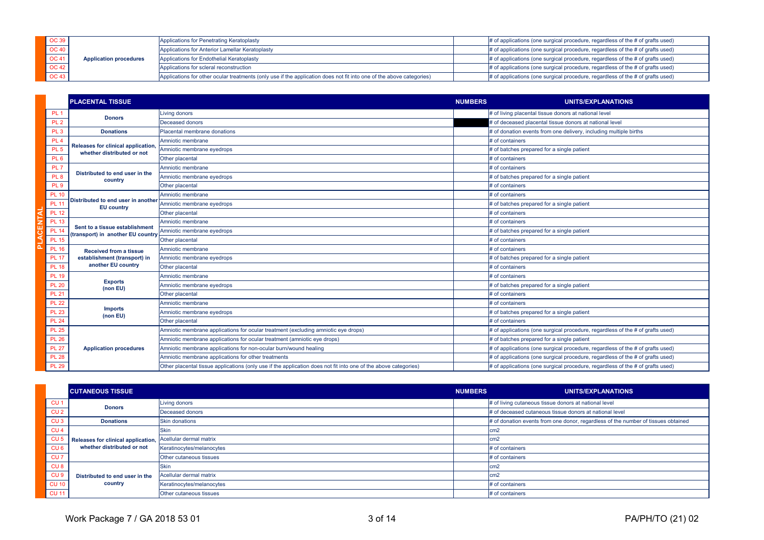| <b>OC 39</b> |                               | Applications for Penetrating Keratoplasty                                                                            | $\#$ of applications (one surgical procedure, regardless of the $\#$ of grafts used) |
|--------------|-------------------------------|----------------------------------------------------------------------------------------------------------------------|--------------------------------------------------------------------------------------|
| OC 40        |                               | Applications for Anterior Lamellar Keratoplasty                                                                      | $\#$ of applications (one surgical procedure, regardless of the $\#$ of grafts used) |
| <b>OC 41</b> | <b>Application procedures</b> | Applications for Endothelial Keratoplasty                                                                            | $\#$ of applications (one surgical procedure, regardless of the $\#$ of grafts used) |
| <b>OC 42</b> |                               | Applications for scleral reconstruction                                                                              | $\#$ of applications (one surgical procedure, regardless of the $\#$ of grafts used) |
| <b>OC 43</b> |                               | Applications for other ocular treatments (only use if the application does not fit into one of the above categories) | $\#$ of applications (one surgical procedure, regardless of the $\#$ of grafts used) |

|                 | <b>PLACENTAL TISSUE</b>                                             |                                                                                                                 | <b>NUMBERS</b> | <b>UNITS/EXPLANATIONS</b>                                                          |
|-----------------|---------------------------------------------------------------------|-----------------------------------------------------------------------------------------------------------------|----------------|------------------------------------------------------------------------------------|
| PL <sub>1</sub> |                                                                     | Living donors                                                                                                   |                | # of living placental tissue donors at national level                              |
| PL <sub>2</sub> | <b>Donors</b>                                                       | Deceased donors                                                                                                 |                | # of deceased placental tissue donors at national level                            |
| PL <sub>3</sub> | <b>Donations</b>                                                    | Placental membrane donations                                                                                    |                | # of donation events from one delivery, including multiple births                  |
| PL <sub>4</sub> |                                                                     | Amniotic membrane                                                                                               |                | # of containers                                                                    |
| PL <sub>5</sub> | Releases for clinical application,<br>whether distributed or not    | Amniotic membrane eyedrops                                                                                      |                | # of batches prepared for a single patient                                         |
| PL <sub>6</sub> |                                                                     | Other placental                                                                                                 |                | # of containers                                                                    |
| PL <sub>7</sub> |                                                                     | Amniotic membrane                                                                                               |                | # of containers                                                                    |
| PL <sub>8</sub> | Distributed to end user in the<br>country                           | Amniotic membrane eyedrops                                                                                      |                | # of batches prepared for a single patient                                         |
| <b>PL 9</b>     |                                                                     | Other placental                                                                                                 |                | # of containers                                                                    |
| <b>PL 10</b>    |                                                                     | Amniotic membrane                                                                                               |                | # of containers                                                                    |
| <b>PL 11</b>    | Distributed to end user in another<br><b>EU</b> country             | Amniotic membrane eyedrops                                                                                      |                | # of batches prepared for a single patient                                         |
| <b>PL 12</b>    |                                                                     | Other placental                                                                                                 |                | # of containers                                                                    |
| <b>PL 13</b>    |                                                                     | Amniotic membrane                                                                                               |                | # of containers                                                                    |
| <b>PL 14</b>    | Sent to a tissue establishment<br>(transport) in another EU country | Amniotic membrane eyedrops                                                                                      |                | # of batches prepared for a single patient                                         |
| <b>PL 15</b>    |                                                                     | Other placental                                                                                                 |                | # of containers                                                                    |
| <b>PL 16</b>    | <b>Received from a tissue</b>                                       | Amniotic membrane                                                                                               |                | # of containers                                                                    |
| <b>PL 17</b>    | establishment (transport) in                                        | Amniotic membrane eyedrops                                                                                      |                | # of batches prepared for a single patient                                         |
| <b>PL 18</b>    | another EU country                                                  | Other placental                                                                                                 |                | # of containers                                                                    |
| <b>PL 19</b>    |                                                                     | Amniotic membrane                                                                                               |                | # of containers                                                                    |
| <b>PL 20</b>    | <b>Exports</b><br>(non EU)                                          | Amniotic membrane eyedrops                                                                                      |                | # of batches prepared for a single patient                                         |
| <b>PL 21</b>    |                                                                     | Other placental                                                                                                 |                | # of containers                                                                    |
| <b>PL 22</b>    |                                                                     | Amniotic membrane                                                                                               |                | # of containers                                                                    |
| <b>PL 23</b>    | <b>Imports</b><br>(non EU)                                          | Amniotic membrane eyedrops                                                                                      |                | # of batches prepared for a single patient                                         |
| <b>PL 24</b>    |                                                                     | Other placental                                                                                                 |                | # of containers                                                                    |
| <b>PL 25</b>    |                                                                     | Amniotic membrane applications for ocular treatment (excluding amniotic eye drops)                              |                | # of applications (one surgical procedure, regardless of the # of grafts used)     |
| <b>PL 26</b>    |                                                                     | Amniotic membrane applications for ocular treatment (amniotic eye drops)                                        |                | # of batches prepared for a single patient                                         |
| <b>PL 27</b>    | <b>Application procedures</b>                                       | Amniotic membrane applications for non-ocular burn/wound healing                                                |                | # of applications (one surgical procedure, regardless of the # of grafts used)     |
| <b>PL 28</b>    |                                                                     | Amniotic membrane applications for other treatments                                                             |                | $#$ of applications (one surgical procedure, regardless of the $#$ of grafts used) |
| <b>PL 29</b>    |                                                                     | Other placental tissue applications (only use if the application does not fit into one of the above categories) |                | # of applications (one surgical procedure, regardless of the # of grafts used)     |

|                 | <b>CUTANEOUS TISSUE</b>            |                           | <b>NUMBERS</b> | <b>UNITS/EXPLANATIONS</b>                                                         |
|-----------------|------------------------------------|---------------------------|----------------|-----------------------------------------------------------------------------------|
| CU <sub>1</sub> | <b>Donors</b>                      | Living donors             |                | # of living cutaneous tissue donors at national level                             |
| CU <sub>2</sub> |                                    | Deceased donors           |                | # of deceased cutaneous tissue donors at national level                           |
| CU <sub>3</sub> | <b>Donations</b>                   | <b>Skin donations</b>     |                | # of donation events from one donor, regardless of the number of tissues obtained |
| CU <sub>4</sub> |                                    | Skin                      |                | cm2                                                                               |
| CU <sub>5</sub> | Releases for clinical application, | Acellular dermal matrix   |                | lcm2                                                                              |
| CU <sub>6</sub> | whether distributed or not         | Keratinocytes/melanocytes |                | # of containers                                                                   |
| CU <sub>7</sub> |                                    | Other cutaneous tissues   |                | # of containers                                                                   |
| CU <sub>8</sub> |                                    | Skin                      |                | lcm2                                                                              |
| CU <sub>9</sub> | Distributed to end user in the     | Acellular dermal matrix   |                | lcm2                                                                              |
| <b>CU 10</b>    | country                            | Keratinocytes/melanocytes |                | # of containers                                                                   |
| <b>CU 11</b>    |                                    | Other cutaneous tissues   |                | # of containers                                                                   |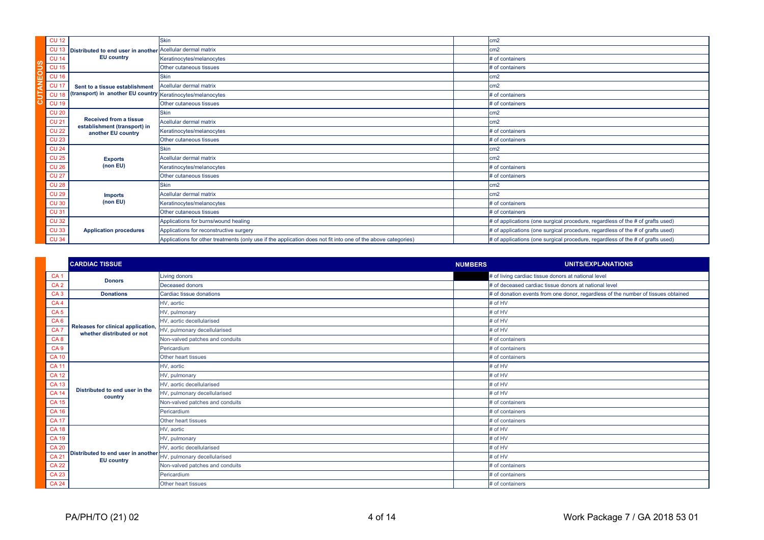| <b>CU 12</b> |                                                                                       | <b>Skin</b>                                                                                                   | cm2                                                                                  |
|--------------|---------------------------------------------------------------------------------------|---------------------------------------------------------------------------------------------------------------|--------------------------------------------------------------------------------------|
|              | CU 13 Distributed to end user in another Acellular dermal matrix<br><b>EU</b> country |                                                                                                               | cm <sub>2</sub>                                                                      |
| <b>CU 14</b> |                                                                                       | Keratinocytes/melanocytes                                                                                     | # of containers                                                                      |
| <b>CU 15</b> |                                                                                       | Other cutaneous tissues                                                                                       | # of containers                                                                      |
| <b>CU 16</b> |                                                                                       | <b>Skin</b>                                                                                                   | cm <sub>2</sub>                                                                      |
| <b>CU 17</b> | Sent to a tissue establishment                                                        | Acellular dermal matrix                                                                                       | cm <sub>2</sub>                                                                      |
| <b>CU 18</b> | (transport) in another EU country Keratinocytes/melanocytes                           |                                                                                                               | # of containers                                                                      |
| <b>CU 19</b> |                                                                                       | Other cutaneous tissues                                                                                       | # of containers                                                                      |
| <b>CU 20</b> |                                                                                       | <b>Skin</b>                                                                                                   | cm2                                                                                  |
| <b>CU 21</b> | <b>Received from a tissue</b><br>establishment (transport) in                         | Acellular dermal matrix                                                                                       | cm <sub>2</sub>                                                                      |
| <b>CU 22</b> | another EU country                                                                    | Keratinocytes/melanocytes                                                                                     | # of containers                                                                      |
| <b>CU 23</b> |                                                                                       | Other cutaneous tissues                                                                                       | # of containers                                                                      |
| <b>CU 24</b> |                                                                                       | <b>Skin</b>                                                                                                   | cm <sub>2</sub>                                                                      |
| <b>CU 25</b> | <b>Exports</b>                                                                        | Acellular dermal matrix                                                                                       | cm <sub>2</sub>                                                                      |
| <b>CU 26</b> | (non EU)                                                                              | Keratinocytes/melanocytes                                                                                     | # of containers                                                                      |
| <b>CU 27</b> |                                                                                       | Other cutaneous tissues                                                                                       | # of containers                                                                      |
| <b>CU 28</b> |                                                                                       | <b>Skin</b>                                                                                                   | cm <sub>2</sub>                                                                      |
| <b>CU 29</b> | <b>Imports</b>                                                                        | Acellular dermal matrix                                                                                       | cm <sub>2</sub>                                                                      |
| <b>CU 30</b> | (non EU)                                                                              | Keratinocytes/melanocytes                                                                                     | # of containers                                                                      |
| <b>CU 31</b> |                                                                                       | Other cutaneous tissues                                                                                       | # of containers                                                                      |
| <b>CU 32</b> |                                                                                       | Applications for burns/wound healing                                                                          | # of applications (one surgical procedure, regardless of the # of grafts used)       |
| <b>CU 33</b> | <b>Application procedures</b>                                                         | Applications for reconstructive surgery                                                                       | # of applications (one surgical procedure, regardless of the # of grafts used)       |
| <b>CU 34</b> |                                                                                       | Applications for other treatments (only use if the application does not fit into one of the above categories) | $\#$ of applications (one surgical procedure, regardless of the $\#$ of grafts used) |

|                 | <b>CARDIAC TISSUE</b>                                           |                                 | <b>NUMBERS</b> | <b>UNITS/EXPLANATIONS</b>                                                         |
|-----------------|-----------------------------------------------------------------|---------------------------------|----------------|-----------------------------------------------------------------------------------|
| CA <sub>1</sub> |                                                                 | Living donors                   |                | # of living cardiac tissue donors at national level                               |
| CA <sub>2</sub> | <b>Donors</b>                                                   | Deceased donors                 |                | # of deceased cardiac tissue donors at national level                             |
| CA <sub>3</sub> | <b>Donations</b>                                                | Cardiac tissue donations        |                | # of donation events from one donor, regardless of the number of tissues obtained |
| CA <sub>4</sub> |                                                                 | HV, aortic                      |                | # of HV                                                                           |
| CA <sub>5</sub> |                                                                 | HV, pulmonary                   |                | # of HV                                                                           |
| CA <sub>6</sub> |                                                                 | HV, aortic decellularised       |                | # of HV                                                                           |
| CA <sub>7</sub> | Releases for clinical application<br>whether distributed or not | HV, pulmonary decellularised    |                | # of HV                                                                           |
| CA <sub>8</sub> |                                                                 | Non-valved patches and conduits |                | # of containers                                                                   |
| CA <sub>9</sub> |                                                                 | Pericardium                     |                | # of containers                                                                   |
| <b>CA 10</b>    |                                                                 | Other heart tissues             |                | # of containers                                                                   |
| <b>CA 11</b>    |                                                                 | HV, aortic                      |                | # of HV                                                                           |
| <b>CA12</b>     |                                                                 | HV, pulmonary                   |                | # of HV                                                                           |
| <b>CA 13</b>    |                                                                 | HV, aortic decellularised       |                | # of HV                                                                           |
| <b>CA 14</b>    | Distributed to end user in the<br>country                       | HV, pulmonary decellularised    |                | # of HV                                                                           |
| <b>CA 15</b>    |                                                                 | Non-valved patches and conduits |                | # of containers                                                                   |
| <b>CA 16</b>    |                                                                 | Pericardium                     |                | # of containers                                                                   |
| <b>CA 17</b>    |                                                                 | Other heart tissues             |                | # of containers                                                                   |
| <b>CA 18</b>    |                                                                 | HV, aortic                      |                | # of HV                                                                           |
| <b>CA 19</b>    |                                                                 | HV, pulmonary                   |                | # of HV                                                                           |
| <b>CA 20</b>    |                                                                 | HV, aortic decellularised       |                | # of HV                                                                           |
| <b>CA 21</b>    | Distributed to end user in another<br><b>EU</b> country         | HV, pulmonary decellularised    |                | # of HV                                                                           |
| <b>CA 22</b>    |                                                                 | Non-valved patches and conduits |                | # of containers                                                                   |
| <b>CA 23</b>    |                                                                 | Pericardium                     |                | # of containers                                                                   |
| <b>CA 24</b>    |                                                                 | Other heart tissues             |                | # of containers                                                                   |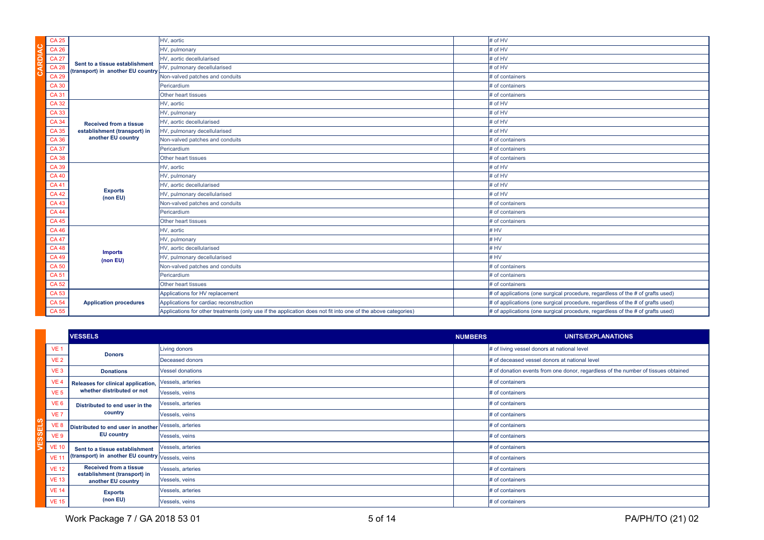| <b>CA 25</b> |                                                                     | HV, aortic                                                                                                    | # of HV                                                                              |
|--------------|---------------------------------------------------------------------|---------------------------------------------------------------------------------------------------------------|--------------------------------------------------------------------------------------|
| <b>CA 26</b> |                                                                     | HV, pulmonary                                                                                                 | # of HV                                                                              |
| <b>CA 27</b> | Sent to a tissue establishment<br>(transport) in another EU country | HV. aortic decellularised                                                                                     | # of HV                                                                              |
| <b>CA 28</b> |                                                                     | HV, pulmonary decellularised                                                                                  | # of HV                                                                              |
| <b>CA 29</b> |                                                                     | Non-valved patches and conduits                                                                               | # of containers                                                                      |
| <b>CA 30</b> |                                                                     | Pericardium                                                                                                   | # of containers                                                                      |
| <b>CA31</b>  |                                                                     | Other heart tissues                                                                                           | # of containers                                                                      |
| <b>CA32</b>  |                                                                     | HV, aortic                                                                                                    | # of HV                                                                              |
| <b>CA33</b>  |                                                                     | HV, pulmonary                                                                                                 | # of HV                                                                              |
| <b>CA 34</b> | <b>Received from a tissue</b>                                       | HV, aortic decellularised                                                                                     | # of HV                                                                              |
| <b>CA 35</b> | establishment (transport) in                                        | HV, pulmonary decellularised                                                                                  | # of HV                                                                              |
| <b>CA 36</b> | another EU country                                                  | Non-valved patches and conduits                                                                               | # of containers                                                                      |
| <b>CA37</b>  |                                                                     | Pericardium                                                                                                   | # of containers                                                                      |
| <b>CA 38</b> |                                                                     | Other heart tissues                                                                                           | # of containers                                                                      |
| <b>CA 39</b> |                                                                     | HV, aortic                                                                                                    | # of HV                                                                              |
| <b>CA 40</b> |                                                                     | HV, pulmonary                                                                                                 | # of HV                                                                              |
| <b>CA41</b>  |                                                                     | HV, aortic decellularised                                                                                     | # of HV                                                                              |
| <b>CA42</b>  | <b>Exports</b><br>(non EU)                                          | HV, pulmonary decellularised                                                                                  | # of HV                                                                              |
| <b>CA43</b>  |                                                                     | Non-valved patches and conduits                                                                               | # of containers                                                                      |
| <b>CA44</b>  |                                                                     | Pericardium                                                                                                   | # of containers                                                                      |
| <b>CA45</b>  |                                                                     | Other heart tissues                                                                                           | # of containers                                                                      |
| <b>CA 46</b> |                                                                     | HV, aortic                                                                                                    | $#$ HV                                                                               |
| <b>CA 47</b> |                                                                     | HV, pulmonary                                                                                                 | # HV                                                                                 |
| <b>CA48</b>  | <b>Imports</b>                                                      | HV, aortic decellularised                                                                                     | # HV                                                                                 |
| <b>CA 49</b> | (non EU)                                                            | HV, pulmonary decellularised                                                                                  | $#$ HV                                                                               |
| <b>CA50</b>  |                                                                     | Non-valved patches and conduits                                                                               | # of containers                                                                      |
| <b>CA51</b>  |                                                                     | Pericardium                                                                                                   | # of containers                                                                      |
| <b>CA 52</b> |                                                                     | Other heart tissues                                                                                           | # of containers                                                                      |
| <b>CA 53</b> |                                                                     | Applications for HV replacement                                                                               | $\#$ of applications (one surgical procedure, regardless of the $\#$ of grafts used) |
| <b>CA 54</b> | <b>Application procedures</b>                                       | Applications for cardiac reconstruction                                                                       | $\#$ of applications (one surgical procedure, regardless of the $\#$ of grafts used) |
| <b>CA 55</b> |                                                                     | Applications for other treatments (only use if the application does not fit into one of the above categories) | $\#$ of applications (one surgical procedure, regardless of the $\#$ of grafts used) |

|                 | <b>VESSELS</b>                                     |                         | <b>NUMBERS</b> | UNITS/EXPLANATIONS                                                                |
|-----------------|----------------------------------------------------|-------------------------|----------------|-----------------------------------------------------------------------------------|
| VE <sub>1</sub> | <b>Donors</b>                                      | Living donors           |                | # of living vessel donors at national level                                       |
| <b>VE 2</b>     |                                                    | Deceased donors         |                | # of deceased vessel donors at national level                                     |
| VE <sub>3</sub> | <b>Donations</b>                                   | <b>Vessel donations</b> |                | # of donation events from one donor, regardless of the number of tissues obtained |
| VE <sub>4</sub> | Releases for clinical application,                 | Vessels, arteries       |                | # of containers                                                                   |
| VE <sub>5</sub> | whether distributed or not                         | Vessels, veins          |                | # of containers                                                                   |
| VE <sub>6</sub> | Distributed to end user in the                     | Vessels, arteries       |                | # of containers                                                                   |
| VE <sub>7</sub> | country                                            | Vessels, veins          |                | # of containers                                                                   |
| VE <sub>8</sub> | Distributed to end user in another                 | Vessels, arteries       |                | # of containers                                                                   |
| VE <sub>9</sub> | <b>EU</b> country                                  | Vessels, veins          |                | # of containers                                                                   |
| <b>VE 10</b>    | Sent to a tissue establishment                     | Vessels, arteries       |                | # of containers                                                                   |
| <b>VE 11</b>    | (transport) in another EU country Vessels, veins   |                         |                | # of containers                                                                   |
| <b>VE 12</b>    | <b>Received from a tissue</b>                      | Vessels, arteries       |                | # of containers                                                                   |
| <b>VE 13</b>    | establishment (transport) in<br>another EU country | Vessels, veins          |                | # of containers                                                                   |
| <b>VE 14</b>    | <b>Exports</b>                                     | Vessels, arteries       |                | # of containers                                                                   |
| <b>VE 15</b>    | (non EU)                                           | Vessels, veins          |                | # of containers                                                                   |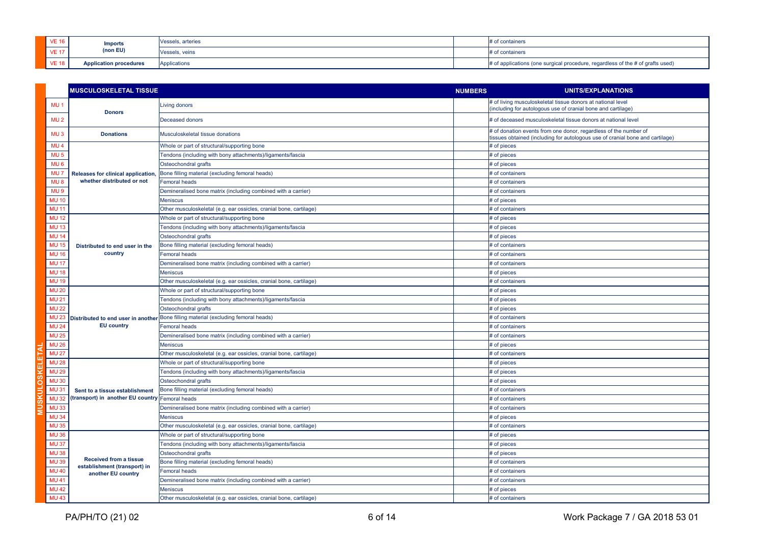| <b>VE 16</b> | <b>Imports</b>                | Vessels, arteries | # of containers                                                                    |
|--------------|-------------------------------|-------------------|------------------------------------------------------------------------------------|
| <b>VE 17</b> | (non EU)                      | Vessels, veins    | # of containers                                                                    |
| <b>VE 18</b> | <b>Application procedures</b> | Applications      | $#$ of applications (one surgical procedure, regardless of the $#$ of grafts used) |

|                 | <b>MUSCULOSKELETAL TISSUE</b>                                 |                                                                                    | <b>NUMBERS</b> | <b>UNITS/EXPLANATIONS</b>                                                                                                                         |
|-----------------|---------------------------------------------------------------|------------------------------------------------------------------------------------|----------------|---------------------------------------------------------------------------------------------------------------------------------------------------|
| MU <sub>1</sub> | <b>Donors</b>                                                 | <b>Living donors</b>                                                               |                | # of living musculoskeletal tissue donors at national level<br>(including for autologous use of cranial bone and cartilage)                       |
| MU <sub>2</sub> |                                                               | <b>Deceased donors</b>                                                             |                | # of deceased musculoskeletal tissue donors at national level                                                                                     |
| MU <sub>3</sub> | <b>Donations</b>                                              | Musculoskeletal tissue donations                                                   |                | # of donation events from one donor, regardless of the number of<br>tissues obtained (including for autologous use of cranial bone and cartilage) |
| MU <sub>4</sub> |                                                               | Whole or part of structural/supporting bone                                        |                | # of pieces                                                                                                                                       |
| MU <sub>5</sub> |                                                               | Tendons (including with bony attachments)/ligaments/fascia                         |                | # of pieces                                                                                                                                       |
| MU <sub>6</sub> |                                                               | Osteochondral grafts                                                               |                | # of pieces                                                                                                                                       |
| MU <sub>7</sub> | Releases for clinical application,                            | Bone filling material (excluding femoral heads)                                    |                | # of containers                                                                                                                                   |
| MU <sub>8</sub> | whether distributed or not                                    | Femoral heads                                                                      |                | # of containers                                                                                                                                   |
| MU <sub>9</sub> |                                                               | Demineralised bone matrix (including combined with a carrier)                      |                | # of containers                                                                                                                                   |
| <b>MU 10</b>    |                                                               | <b>Meniscus</b>                                                                    |                | # of pieces                                                                                                                                       |
| <b>MU 11</b>    |                                                               | Other musculoskeletal (e.g. ear ossicles, cranial bone, cartilage)                 |                | # of containers                                                                                                                                   |
| <b>MU 12</b>    |                                                               | Whole or part of structural/supporting bone                                        |                | # of pieces                                                                                                                                       |
| <b>MU 13</b>    |                                                               | Tendons (including with bony attachments)/ligaments/fascia                         |                | # of pieces                                                                                                                                       |
| <b>MU 14</b>    |                                                               | Osteochondral grafts                                                               |                | # of pieces                                                                                                                                       |
| <b>MU 15</b>    | Distributed to end user in the                                | Bone filling material (excluding femoral heads)                                    |                | # of containers                                                                                                                                   |
| <b>MU 16</b>    | country                                                       | <b>Femoral heads</b>                                                               |                | # of containers                                                                                                                                   |
| <b>MU 17</b>    |                                                               | Demineralised bone matrix (including combined with a carrier)                      |                | # of containers                                                                                                                                   |
| <b>MU 18</b>    |                                                               | <b>Meniscus</b>                                                                    |                | # of pieces                                                                                                                                       |
| <b>MU 19</b>    |                                                               | Other musculoskeletal (e.g. ear ossicles, cranial bone, cartilage)                 |                | # of containers                                                                                                                                   |
| <b>MU 20</b>    |                                                               | Whole or part of structural/supporting bone                                        |                | # of pieces                                                                                                                                       |
| <b>MU 21</b>    |                                                               | Tendons (including with bony attachments)/ligaments/fascia                         |                | # of pieces                                                                                                                                       |
| <b>MU 22</b>    |                                                               | Osteochondral grafts                                                               |                | # of pieces                                                                                                                                       |
| <b>MU 23</b>    | <b>EU</b> country                                             | Distributed to end user in another Bone filling material (excluding femoral heads) |                | # of containers                                                                                                                                   |
| <b>MU 24</b>    |                                                               | <b>Femoral heads</b>                                                               |                | # of containers                                                                                                                                   |
| <b>MU 25</b>    |                                                               | Demineralised bone matrix (including combined with a carrier)                      |                | # of containers                                                                                                                                   |
| <b>MU 26</b>    |                                                               | Meniscus                                                                           |                | # of pieces                                                                                                                                       |
| <b>MU 27</b>    |                                                               | Other musculoskeletal (e.g. ear ossicles, cranial bone, cartilage)                 |                | # of containers                                                                                                                                   |
| <b>MU 28</b>    |                                                               | Whole or part of structural/supporting bone                                        |                | # of pieces                                                                                                                                       |
| <b>MU 29</b>    |                                                               | Tendons (including with bony attachments)/ligaments/fascia                         |                | # of pieces                                                                                                                                       |
| <b>MU 30</b>    |                                                               | Osteochondral grafts                                                               |                | # of pieces                                                                                                                                       |
| <b>MU31</b>     | Sent to a tissue establishment                                | Bone filling material (excluding femoral heads)                                    |                | # of containers                                                                                                                                   |
| <b>MU32</b>     | (transport) in another EU country Femoral heads               |                                                                                    |                | # of containers                                                                                                                                   |
| <b>MU33</b>     |                                                               | Demineralised bone matrix (including combined with a carrier)                      |                | # of containers                                                                                                                                   |
| <b>MU 34</b>    |                                                               | <b>Meniscus</b>                                                                    |                | # of pieces                                                                                                                                       |
| <b>MU35</b>     |                                                               | Other musculoskeletal (e.g. ear ossicles, cranial bone, cartilage)                 |                | # of containers                                                                                                                                   |
| <b>MU 36</b>    |                                                               | Whole or part of structural/supporting bone                                        |                | # of pieces                                                                                                                                       |
| <b>MU 37</b>    |                                                               | Tendons (including with bony attachments)/ligaments/fascia                         |                | # of pieces                                                                                                                                       |
| <b>MU38</b>     |                                                               | Osteochondral grafts                                                               |                | # of pieces                                                                                                                                       |
| <b>MU39</b>     | <b>Received from a tissue</b><br>establishment (transport) in | Bone filling material (excluding femoral heads)                                    |                | # of containers                                                                                                                                   |
| <b>MU 40</b>    | another EU country                                            | <b>Femoral heads</b>                                                               |                | # of containers                                                                                                                                   |
| <b>MU 41</b>    |                                                               | Demineralised bone matrix (including combined with a carrier)                      |                | # of containers                                                                                                                                   |
| <b>MU 42</b>    |                                                               | <b>Meniscus</b>                                                                    |                | # of pieces                                                                                                                                       |
| <b>MU 43</b>    |                                                               | Other musculoskeletal (e.g. ear ossicles, cranial bone, cartilage)                 |                | # of containers                                                                                                                                   |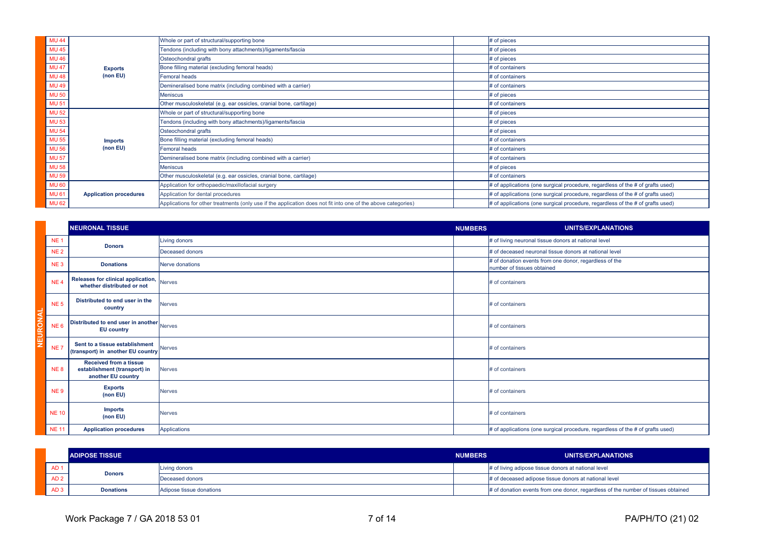| <b>MU 44</b> |                               | Whole or part of structural/supporting bone                                                                   | # of pieces                                                                          |
|--------------|-------------------------------|---------------------------------------------------------------------------------------------------------------|--------------------------------------------------------------------------------------|
| <b>MU 45</b> |                               | Tendons (including with bony attachments)/ligaments/fascia                                                    | # of pieces                                                                          |
| <b>MU 46</b> |                               | Osteochondral grafts                                                                                          | # of pieces                                                                          |
| <b>MU 47</b> | <b>Exports</b>                | Bone filling material (excluding femoral heads)                                                               | # of containers                                                                      |
| <b>MU 48</b> | (non EU)                      | <b>Femoral heads</b>                                                                                          | # of containers                                                                      |
| <b>MU 49</b> |                               | Demineralised bone matrix (including combined with a carrier)                                                 | # of containers                                                                      |
| <b>MU 50</b> |                               | <b>Meniscus</b>                                                                                               | # of pieces                                                                          |
| <b>MU 51</b> |                               | Other musculoskeletal (e.g. ear ossicles, cranial bone, cartilage)                                            | # of containers                                                                      |
| <b>MU 52</b> |                               | Whole or part of structural/supporting bone                                                                   | # of pieces                                                                          |
| <b>MU 53</b> |                               | Tendons (including with bony attachments)/ligaments/fascia                                                    | # of pieces                                                                          |
| <b>MU 54</b> |                               | Osteochondral grafts                                                                                          | # of pieces                                                                          |
| <b>MU 55</b> | <b>Imports</b>                | Bone filling material (excluding femoral heads)                                                               | # of containers                                                                      |
| <b>MU 56</b> | (non EU)                      | <b>Femoral heads</b>                                                                                          | # of containers                                                                      |
| <b>MU 57</b> |                               | Demineralised bone matrix (including combined with a carrier)                                                 | # of containers                                                                      |
| <b>MU 58</b> |                               | <b>Meniscus</b>                                                                                               | # of pieces                                                                          |
| <b>MU 59</b> |                               | Other musculoskeletal (e.g. ear ossicles, cranial bone, cartilage)                                            | # of containers                                                                      |
| <b>MU 60</b> |                               | Application for orthopaedic/maxillofacial surgery                                                             | # of applications (one surgical procedure, regardless of the # of grafts used)       |
| <b>MU61</b>  | <b>Application procedures</b> | Application for dental procedures                                                                             | $\#$ of applications (one surgical procedure, regardless of the $\#$ of grafts used) |
| <b>MU 62</b> |                               | Applications for other treatments (only use if the application does not fit into one of the above categories) | $\#$ of applications (one surgical procedure, regardless of the $\#$ of grafts used) |

|          |                 | <b>NEURONAL TISSUE</b>                                                              |                 | <b>NUMBERS</b> | UNITS/EXPLANATIONS                                                                   |
|----------|-----------------|-------------------------------------------------------------------------------------|-----------------|----------------|--------------------------------------------------------------------------------------|
|          | <b>NE1</b>      | <b>Donors</b>                                                                       | Living donors   |                | # of living neuronal tissue donors at national level                                 |
|          | <b>NE2</b>      |                                                                                     | Deceased donors |                | # of deceased neuronal tissue donors at national level                               |
|          | NE <sub>3</sub> | <b>Donations</b>                                                                    | Nerve donations |                | # of donation events from one donor, regardless of the<br>number of tissues obtained |
|          | NE <sub>4</sub> | <b>Releases for clinical application, Nerves</b><br>whether distributed or not      |                 |                | # of containers                                                                      |
|          | NE <sub>5</sub> | Distributed to end user in the<br>country                                           | <b>Nerves</b>   |                | # of containers                                                                      |
| NEURONAL | NE <sub>6</sub> | Distributed to end user in another Nerves<br><b>EU country</b>                      |                 |                | # of containers                                                                      |
|          | NE <sub>7</sub> | Sent to a tissue establishment<br>(transport) in another EU country Nerves          |                 |                | # of containers                                                                      |
|          | <b>NE8</b>      | <b>Received from a tissue</b><br>establishment (transport) in<br>another EU country | <b>Nerves</b>   |                | # of containers                                                                      |
|          | NE <sub>9</sub> | <b>Exports</b><br>(non EU)                                                          | <b>Nerves</b>   |                | # of containers                                                                      |
|          | <b>NE 10</b>    | <b>Imports</b><br>(non EU)                                                          | <b>Nerves</b>   |                | # of containers                                                                      |
|          | <b>NE11</b>     | <b>Application procedures</b>                                                       | Applications    |                | $\#$ of applications (one surgical procedure, regardless of the $\#$ of grafts used) |

|                 | <b>ADIPOSE TISSUE</b> |                          | <b>NUMBERS</b>                                      | <b>UNITS/EXPLANATIONS</b>                                                         |
|-----------------|-----------------------|--------------------------|-----------------------------------------------------|-----------------------------------------------------------------------------------|
| AD <sub>1</sub> | <b>Donors</b>         | Living donors            | # of living adipose tissue donors at national level |                                                                                   |
| AD <sub>2</sub> |                       | Deceased donors          |                                                     | # of deceased adipose tissue donors at national level                             |
| AD <sub>3</sub> | <b>Donations</b>      | Adipose tissue donations |                                                     | # of donation events from one donor, regardless of the number of tissues obtained |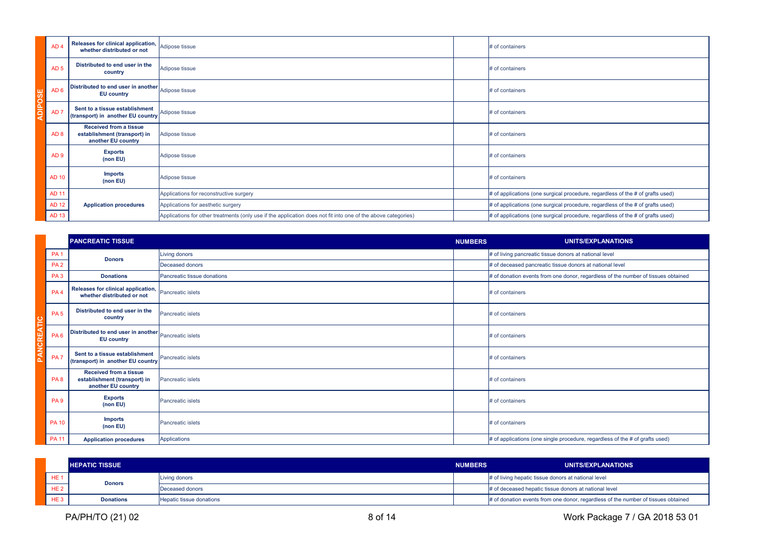|                | AD <sub>4</sub> | Releases for clinical application,<br>whether distributed or not                    | Adipose tissue                                                                                                | # of containers                                                                      |
|----------------|-----------------|-------------------------------------------------------------------------------------|---------------------------------------------------------------------------------------------------------------|--------------------------------------------------------------------------------------|
|                | AD <sub>5</sub> | Distributed to end user in the<br>country                                           | Adipose tissue                                                                                                | # of containers                                                                      |
|                | AD <sub>6</sub> | Distributed to end user in another Adipose tissue<br><b>EU country</b>              |                                                                                                               | # of containers                                                                      |
| <b>ADIPOSE</b> | AD <sub>7</sub> | Sent to a tissue establishment<br>(transport) in another EU country                 | Adipose tissue                                                                                                | # of containers                                                                      |
|                | AD <sub>8</sub> | <b>Received from a tissue</b><br>establishment (transport) in<br>another EU country | Adipose tissue                                                                                                | # of containers                                                                      |
|                | AD <sub>9</sub> | <b>Exports</b><br>(non EU)                                                          | Adipose tissue                                                                                                | # of containers                                                                      |
|                | <b>AD 10</b>    | <b>Imports</b><br>(non EU)                                                          | Adipose tissue                                                                                                | # of containers                                                                      |
|                | <b>AD 11</b>    |                                                                                     | Applications for reconstructive surgery                                                                       | $\#$ of applications (one surgical procedure, regardless of the $\#$ of grafts used) |
|                | <b>AD 12</b>    | <b>Application procedures</b>                                                       | Applications for aesthetic surgery                                                                            | # of applications (one surgical procedure, regardless of the # of grafts used)       |
|                | <b>AD 13</b>    |                                                                                     | Applications for other treatments (only use if the application does not fit into one of the above categories) | # of applications (one surgical procedure, regardless of the # of grafts used)       |

|                 | <b>PANCREATIC TISSUE</b>                                                            |                             | <b>NUMBERS</b> | <b>UNITS/EXPLANATIONS</b>                                                         |
|-----------------|-------------------------------------------------------------------------------------|-----------------------------|----------------|-----------------------------------------------------------------------------------|
| <b>PA1</b>      | <b>Donors</b>                                                                       | Living donors               |                | # of living pancreatic tissue donors at national level                            |
| PA <sub>2</sub> |                                                                                     | Deceased donors             |                | # of deceased pancreatic tissue donors at national level                          |
| PA <sub>3</sub> | <b>Donations</b>                                                                    | Pancreatic tissue donations |                | # of donation events from one donor, regardless of the number of tissues obtained |
| PA <sub>4</sub> | Releases for clinical application,<br>whether distributed or not                    | Pancreatic islets           |                | # of containers                                                                   |
| PA <sub>5</sub> | Distributed to end user in the<br>country                                           | <b>Pancreatic islets</b>    |                | # of containers                                                                   |
| PA <sub>6</sub> | Distributed to end user in another Pancreatic islets<br><b>EU country</b>           |                             |                | # of containers                                                                   |
| PA <sub>7</sub> | Sent to a tissue establishment<br>(transport) in another EU country                 | Pancreatic islets           |                | # of containers                                                                   |
| PA <sub>8</sub> | <b>Received from a tissue</b><br>establishment (transport) in<br>another EU country | <b>Pancreatic islets</b>    |                | # of containers                                                                   |
| PA <sub>9</sub> | <b>Exports</b><br>(non EU)                                                          | <b>Pancreatic islets</b>    |                | # of containers                                                                   |
| <b>PA 10</b>    | <b>Imports</b><br>(non EU)                                                          | <b>Pancreatic islets</b>    |                | # of containers                                                                   |
| <b>PA 11</b>    | <b>Application procedures</b>                                                       | <b>Applications</b>         |                | $#$ of applications (one single procedure, regardless of the $#$ of grafts used)  |

|                 | <b>HEPATIC TISSUE</b> |                          | <b>NUMBERS</b> | UNITS/EXPLANATIONS                                                                |
|-----------------|-----------------------|--------------------------|----------------|-----------------------------------------------------------------------------------|
| HE <sub>1</sub> | <b>Donors</b>         | Living donors            |                | # of living hepatic tissue donors at national level                               |
| HE2             |                       | Deceased donors          |                | # of deceased hepatic tissue donors at national level                             |
| HE <sub>3</sub> | <b>Donations</b>      | Hepatic tissue donations |                | # of donation events from one donor, regardless of the number of tissues obtained |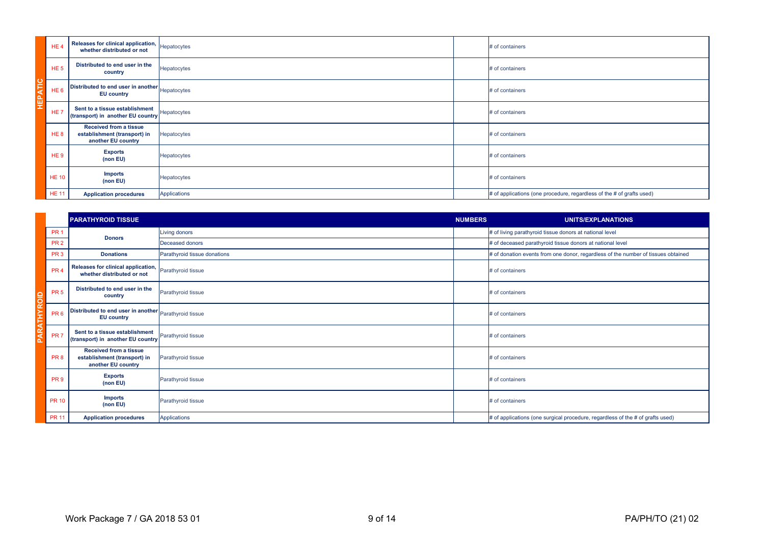| HE <sub>4</sub> | Releases for clinical application, Hepatocytes<br>whether distributed or not        |              | # of containers                                                           |
|-----------------|-------------------------------------------------------------------------------------|--------------|---------------------------------------------------------------------------|
| HE <sub>5</sub> | Distributed to end user in the<br>country                                           | Hepatocytes  | # of containers                                                           |
| HE <sub>6</sub> | Distributed to end user in another Hepatocytes<br><b>EU</b> country                 |              | # of containers                                                           |
| HE <sub>7</sub> | Sent to a tissue establishment<br>(transport) in another EU country                 | Hepatocytes  | # of containers                                                           |
| HE <sub>8</sub> | <b>Received from a tissue</b><br>establishment (transport) in<br>another EU country | Hepatocytes  | # of containers                                                           |
| HE <sub>9</sub> | <b>Exports</b><br>(non EU)                                                          | Hepatocytes  | # of containers                                                           |
| <b>HE 10</b>    | <b>Imports</b><br>(non EU)                                                          | Hepatocytes  | # of containers                                                           |
| <b>HE 11</b>    | <b>Application procedures</b>                                                       | Applications | $#$ of applications (one procedure, regardless of the $#$ of grafts used) |

| HE <sub>6</sub> | Distributed to end user in another Hepatocytes<br><b>EU country</b>                 |                              |                | # of containers                                                                    |
|-----------------|-------------------------------------------------------------------------------------|------------------------------|----------------|------------------------------------------------------------------------------------|
| HE <sub>7</sub> | Sent to a tissue establishment<br>(transport) in another EU country                 | Hepatocytes                  |                | # of containers                                                                    |
| HE <sub>8</sub> | <b>Received from a tissue</b><br>establishment (transport) in<br>another EU country | Hepatocytes                  |                | # of containers                                                                    |
| HE <sub>9</sub> | <b>Exports</b><br>(non EU)                                                          | Hepatocytes                  |                | # of containers                                                                    |
| <b>HE 10</b>    | <b>Imports</b><br>(non EU)                                                          | Hepatocytes                  |                | # of containers                                                                    |
| <b>HE 11</b>    | <b>Application procedures</b>                                                       | <b>Applications</b>          |                | $#$ of applications (one procedure, regardless of the $#$ of grafts used)          |
|                 |                                                                                     |                              |                |                                                                                    |
|                 | <b>PARATHYROID TISSUE</b>                                                           |                              | <b>NUMBERS</b> | <b>UNITS/EXPLANATIONS</b>                                                          |
| PR <sub>1</sub> |                                                                                     | Living donors                |                | # of living parathyroid tissue donors at national level                            |
| <b>PR 2</b>     | <b>Donors</b>                                                                       | <b>Deceased donors</b>       |                | # of deceased parathyroid tissue donors at national level                          |
| PR <sub>3</sub> | <b>Donations</b>                                                                    | Parathyroid tissue donations |                | # of donation events from one donor, regardless of the number of tissues obtained  |
| PR <sub>4</sub> | Releases for clinical application,<br>whether distributed or not                    | Parathyroid tissue           |                | # of containers                                                                    |
| PR <sub>5</sub> | Distributed to end user in the<br>country                                           | Parathyroid tissue           |                | # of containers                                                                    |
| PR <sub>6</sub> | Distributed to end user in another Parathyroid tissue<br><b>EU</b> country          |                              |                | # of containers                                                                    |
| PR <sub>7</sub> | Sent to a tissue establishment<br>(transport) in another EU country                 | Parathyroid tissue           |                | # of containers                                                                    |
| PR <sub>8</sub> | <b>Received from a tissue</b><br>establishment (transport) in<br>another EU country | Parathyroid tissue           |                | # of containers                                                                    |
| PR <sub>9</sub> | <b>Exports</b><br>(non EU)                                                          | Parathyroid tissue           |                | # of containers                                                                    |
| <b>PR 10</b>    | <b>Imports</b><br>(non EU)                                                          | Parathyroid tissue           |                | # of containers                                                                    |
| <b>PR 11</b>    | <b>Application procedures</b>                                                       | <b>Applications</b>          |                | $#$ of applications (one surgical procedure, regardless of the $#$ of grafts used) |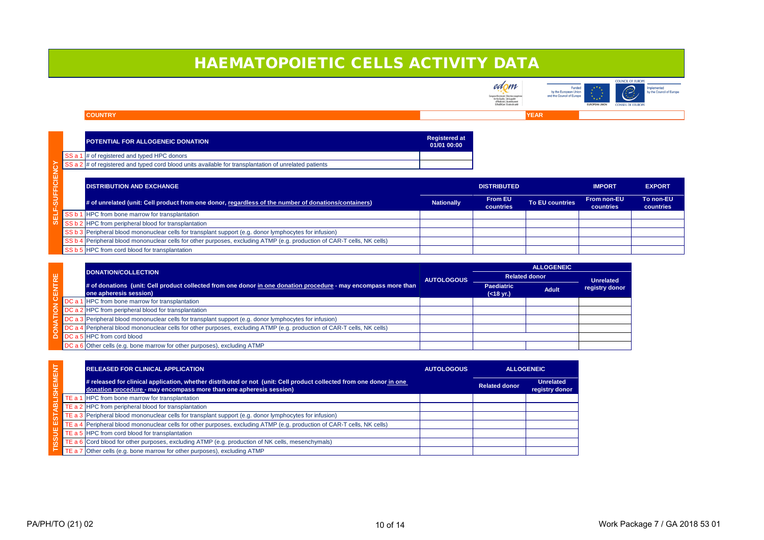







# HAEMATOPOIETIC CELLS ACTIVITY DATA

|                  |                 | <b>POTENTIAL FOR ALLOGENEIC DONATION</b>                                                                                | <b>Registered at</b><br>01/01 00:00 |                             |                        |                                        |                               |
|------------------|-----------------|-------------------------------------------------------------------------------------------------------------------------|-------------------------------------|-----------------------------|------------------------|----------------------------------------|-------------------------------|
|                  | SS a            | $\sharp$ of registered and typed HPC donors                                                                             |                                     |                             |                        |                                        |                               |
|                  |                 | SS a $2 \mid \#$ of registered and typed cord blood units available for transplantation of unrelated patients           |                                     |                             |                        |                                        |                               |
| <b>SUFFICIE</b>  |                 | <b>DISTRIBUTION AND EXCHANGE</b>                                                                                        |                                     | <b>DISTRIBUTED</b>          |                        | <b>IMPORT</b>                          | <b>EXPORT</b>                 |
|                  |                 | # of unrelated (unit: Cell product from one donor, regardless of the number of donations/containers)                    | <b>Nationally</b>                   | <b>From EU</b><br>countries | <b>To EU countries</b> | <b>From non-EU</b><br><b>countries</b> | To non-EU<br><b>countries</b> |
| ū                | SS b            | <b>HPC</b> from bone marrow for transplantation                                                                         |                                     |                             |                        |                                        |                               |
| $\boldsymbol{u}$ | SS I            | <b>2</b> HPC from peripheral blood for transplantation                                                                  |                                     |                             |                        |                                        |                               |
|                  | SS <sub>b</sub> | 3 Peripheral blood mononuclear cells for transplant support (e.g. donor lymphocytes for infusion)                       |                                     |                             |                        |                                        |                               |
|                  |                 | SS b 4 Peripheral blood mononuclear cells for other purposes, excluding ATMP (e.g. production of CAR-T cells, NK cells) |                                     |                             |                        |                                        |                               |
|                  | SS b            | 5 HPC from cord blood for transplantation                                                                               |                                     |                             |                        |                                        |                               |

|                |                                                                                                                                           |                                                                                                                         |                   | <b>ALLOGENEIC</b>              |              |                                    |
|----------------|-------------------------------------------------------------------------------------------------------------------------------------------|-------------------------------------------------------------------------------------------------------------------------|-------------------|--------------------------------|--------------|------------------------------------|
| ாய<br>$\alpha$ |                                                                                                                                           | DONATION/COLLECTION                                                                                                     | <b>AUTOLOGOUS</b> | <b>Related donor</b>           |              | <b>Unrelated</b><br>registry donor |
|                | # of donations (unit: Cell product collected from one donor in one donation procedure - may encompass more than<br>one apheresis session) |                                                                                                                         |                   | <b>Paediatric</b><br>(<18 yr.) | <b>Adult</b> |                                    |
|                |                                                                                                                                           | DC a 1 HPC from bone marrow for transplantation                                                                         |                   |                                |              |                                    |
|                |                                                                                                                                           | DC a 2 HPC from peripheral blood for transplantation                                                                    |                   |                                |              |                                    |
|                |                                                                                                                                           | $\Box$ DC a 3 Peripheral blood mononuclear cells for transplant support (e.g. donor lymphocytes for infusion)           |                   |                                |              |                                    |
|                |                                                                                                                                           | DC a 4 Peripheral blood mononuclear cells for other purposes, excluding ATMP (e.g. production of CAR-T cells, NK cells) |                   |                                |              |                                    |
|                |                                                                                                                                           | DC a 5 HPC from cord blood                                                                                              |                   |                                |              |                                    |
|                |                                                                                                                                           | DC a 6 Other cells (e.g. bone marrow for other purposes), excluding ATMP                                                |                   |                                |              |                                    |

|                       | <b>RELEASED FOR CLINICAL APPLICATION</b>                                                                                                                                                   | <b>AUTOLOGOUS</b> |                      | <b>ALLOGENEIC</b>                  |
|-----------------------|--------------------------------------------------------------------------------------------------------------------------------------------------------------------------------------------|-------------------|----------------------|------------------------------------|
|                       | # released for clinical application, whether distributed or not (unit: Cell product collected from one donor in one<br>donation procedure - may encompass more than one apheresis session) |                   | <b>Related donor</b> | <b>Unrelated</b><br>registry donor |
|                       | <b>TE a 1 HPC from bone marrow for transplantation</b>                                                                                                                                     |                   |                      |                                    |
|                       | TE a 2 HPC from peripheral blood for transplantation                                                                                                                                       |                   |                      |                                    |
| $\boldsymbol{\omega}$ | TE a $3$ Peripheral blood mononuclear cells for transplant support (e.g. donor lymphocytes for infusion)                                                                                   |                   |                      |                                    |
| ш                     | TE a 4 Peripheral blood mononuclear cells for other purposes, excluding ATMP (e.g. production of CAR-T cells, NK cells)                                                                    |                   |                      |                                    |
|                       | TE a 5 HPC from cord blood for transplantation                                                                                                                                             |                   |                      |                                    |
| $\boldsymbol{\omega}$ | TE a 6 Cord blood for other purposes, excluding ATMP (e.g. production of NK cells, mesenchymals)                                                                                           |                   |                      |                                    |
|                       | TE a $7$ Other cells (e.g. bone marrow for other purposes), excluding ATMP                                                                                                                 |                   |                      |                                    |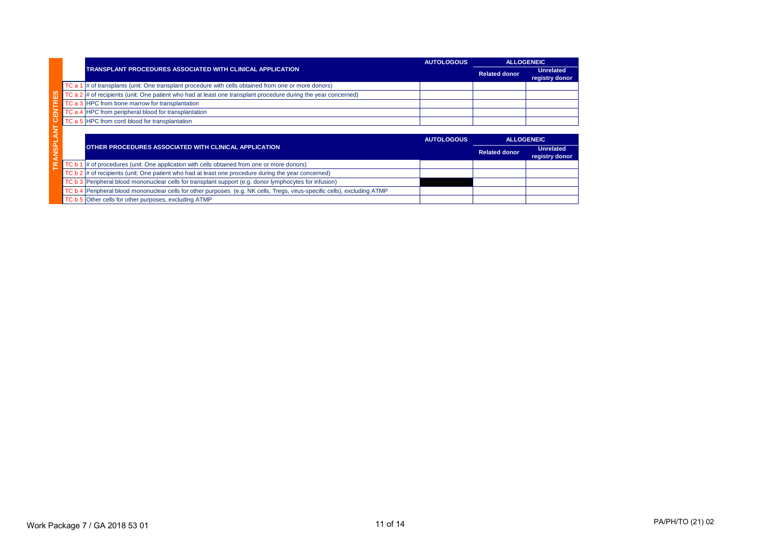|                         |        |                                                                                                                      | <b>AUTOLOGOUS</b> | <b>ALLOGENEIC</b>    |                                    |
|-------------------------|--------|----------------------------------------------------------------------------------------------------------------------|-------------------|----------------------|------------------------------------|
|                         |        | <b>TRANSPLANT PROCEDURES ASSOCIATED WITH CLINICAL APPLICATION</b>                                                    |                   | <b>Related donor</b> | <b>Unrelated</b><br>registry donor |
|                         | TC a 1 | $\frac{1}{4}$ of transplants (unit: One transplant procedure with cells obtained from one or more donors)            |                   |                      |                                    |
| ES                      |        | TC a $2 \neq 0$ f recipients (unit: One patient who had at least one transplant procedure during the year concerned) |                   |                      |                                    |
|                         |        | TC a 3 HPC from bone marrow for transplantation                                                                      |                   |                      |                                    |
| <b>CENTR</b>            |        | TC a 4 HPC from peripheral blood for transplantation                                                                 |                   |                      |                                    |
|                         |        | TC a 5 HPC from cord blood for transplantation                                                                       |                   |                      |                                    |
| $\overline{\mathsf{z}}$ |        |                                                                                                                      |                   |                      |                                    |
| ◀                       |        |                                                                                                                      | <b>AUTOLOGOUS</b> | <b>ALLOGENEIC</b>    |                                    |
| <b>ANSPL</b>            |        | OTHER PROCEDURES ASSOCIATED WITH CLINICAL APPLICATION                                                                |                   | <b>Related donor</b> | <b>Unrelated</b><br>registry donor |
| $\mathbf{R}$            | TC b 1 | # of procedures (unit: One application with cells obtained from one or more donors)                                  |                   |                      |                                    |
|                         | TC b   | $2$ $\sharp$ of recipients (unit: One patient who had at least one procedure during the year concerned)              |                   |                      |                                    |
|                         |        | TC b 3 Peripheral blood mononuclear cells for transplant support (e.g. donor lymphocytes for infusion)               |                   |                      |                                    |
|                         | TC b 4 | Peripheral blood mononuclear cells for other purposes (e.g. NK cells, Tregs, virus-specific cells), excluding ATMP   |                   |                      |                                    |
|                         |        | TC b 5 Other cells for other purposes, excluding ATMP                                                                |                   |                      |                                    |

# PA/PH/TO (21) 02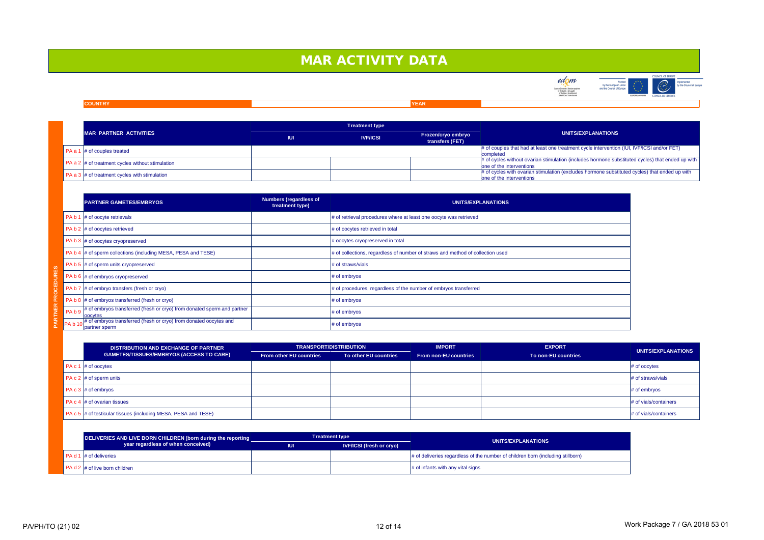### **COUNTRY YEAR**

|                              | <b>PARTNER GAMETES/EMBRYOS</b>                                                                        | <b>Numbers (regardless of</b><br>treatment type) | UNITS/EXPLANATIONS                                                             |
|------------------------------|-------------------------------------------------------------------------------------------------------|--------------------------------------------------|--------------------------------------------------------------------------------|
|                              | PA b 1 $\#$ of oocyte retrievals                                                                      |                                                  | $\#$ of retrieval procedures where at least one oocyte was retrieved           |
|                              | PA b $2 \mid #$ of oocytes retrieved                                                                  |                                                  | # of oocytes retrieved in total                                                |
|                              | PA b $3 \mid #$ of oocytes cryopreserved                                                              |                                                  | $\#$ oocytes cryopreserved in total                                            |
|                              | PA b 4  # of sperm collections (including MESA, PESA and TESE)                                        |                                                  | # of collections, regardless of number of straws and method of collection used |
|                              | PA b 5 $\#$ of sperm units cryopreserved                                                              |                                                  | $#$ of straws/vials                                                            |
|                              | PA b 6 $\#$ of embryos cryopreserved                                                                  |                                                  | $#$ of embryos                                                                 |
| PA <sub>b</sub> 7            | $\#$ of embryo transfers (fresh or cryo)                                                              |                                                  | $\#$ of procedures, regardless of the number of embryos transferred            |
|                              | PA b 8 $\#$ of embryos transferred (fresh or cryo)                                                    |                                                  | $#$ of embryos                                                                 |
| PA <sub>b</sub> <sub>9</sub> | # of embryos transferred (fresh or cryo) from donated sperm and partner<br><b>oocytes</b>             |                                                  | $#$ of embryos                                                                 |
|                              | PA b 10 <sup>#</sup> of embryos transferred (fresh or cryo) from donated oocytes and<br>partner sperm |                                                  | $#$ of embryos                                                                 |

| MAR PARTNER ACTIVITIES                                            | <b>IUI</b> | <b>IVF/ICSI</b> | <b>Frozen/cryo embryo</b><br>transfers (FET) | <b>UNI</b>                                                                |
|-------------------------------------------------------------------|------------|-----------------|----------------------------------------------|---------------------------------------------------------------------------|
| $\blacksquare$ PA a 1 $\vert \#$ of couples treated               |            |                 |                                              | $\#$ of couples that had at least one treatm<br>completed                 |
| $\vert$ PA a 2 $\vert \#$ of treatment cycles without stimulation |            |                 |                                              | $\#$ of cycles without ovarian stimulation (i<br>one of the interventions |
| $\vert$ PA a 3 $\vert \#$ of treatment cycles with stimulation    |            |                 |                                              | $\#$ of cycles with ovarian stimulation (exc<br>one of the interventions  |

# MAR ACTIVITY DATA





## **UNITS/EXPLANATIONS**

ment cycle intervention (IUI, IVF/ICSI and/or FET)

(includes hormone substituted cycles) that ended up with

cludes hormone substituted cycles) that ended up with

| <b>DISTRIBUTION AND EXCHANGE OF PARTNER</b>                     | <b>TRANSPORT/DISTRIBUTION</b>  |                       | <b>IMPORT</b>                | <b>EXPORT</b>       |                          |
|-----------------------------------------------------------------|--------------------------------|-----------------------|------------------------------|---------------------|--------------------------|
| GAMETES/TISSUES/EMBRYOS (ACCESS TO CARE)                        | <b>From other EU countries</b> | To other EU countries | <b>From non-EU countries</b> | To non-EU countries | UNITS/EXPLANATIONS       |
| PA c 1 $\#$ of oocytes                                          |                                |                       |                              |                     | $#$ of oocytes           |
| PA c 2 $\#$ of sperm units                                      |                                |                       |                              |                     | $#$ of straws/vials      |
| PA c 3 $\#$ of embryos                                          |                                |                       |                              |                     | $#$ of embryos           |
| PA $c$ 4 $\#$ of ovarian tissues                                |                                |                       |                              |                     | $\#$ of vials/containers |
| PA c 5  # of testicular tissues (including MESA, PESA and TESE) |                                |                       |                              |                     | $\#$ of vials/containers |
|                                                                 |                                |                       |                              |                     |                          |

| DELIVERIES AND LIVE BORN CHILDREN (born during the reporting |            | <b>Treatment type</b>           | UNITS/EXPLANATIONS                                                                          |  |
|--------------------------------------------------------------|------------|---------------------------------|---------------------------------------------------------------------------------------------|--|
| year regardless of when conceived)                           | <b>IUI</b> | <b>IVF/ICSI (fresh or cryo)</b> |                                                                                             |  |
| $PA d 1 \# of$ deliveries                                    |            |                                 | $\frac{1}{2}$ of deliveries regardless of the number of children born (including stillborn) |  |
| $PA d 2 \nparallel \# of live born children$                 |            |                                 | $\#$ of infants with any vital signs                                                        |  |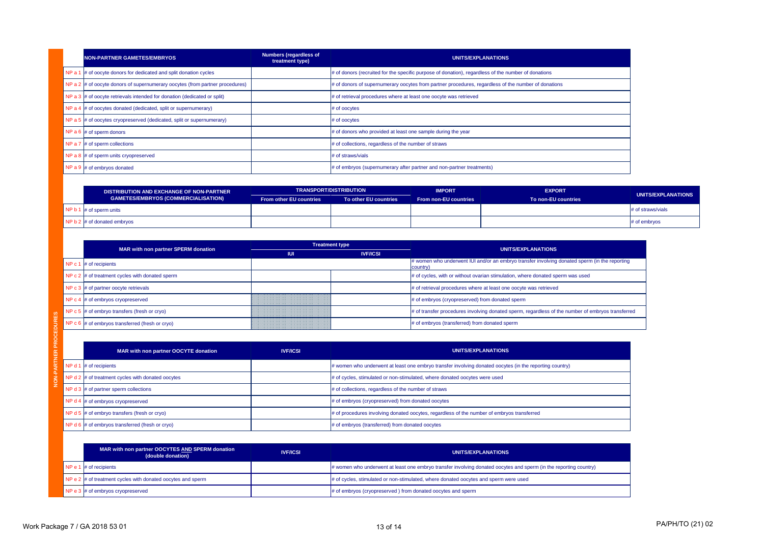| NON-PARTNER GAMETES/EMBRYOS                                                          | <b>Numbers (regardless of</b><br>treatment type) | UNITS/EXPLANATIONS                                                                                     |
|--------------------------------------------------------------------------------------|--------------------------------------------------|--------------------------------------------------------------------------------------------------------|
| NP a 1 $\#$ of oocyte donors for dedicated and split donation cycles                 |                                                  | $\#$ of donors (recruited for the specific purpose of donation), regardless of the number of donations |
| NP a $2 \mid \#$ of oocyte donors of supernumerary oocytes (from partner procedures) |                                                  | $\#$ of donors of supernumerary oocytes from partner procedures, regardless of the number of donations |
| NP a $3 \mid \#$ of oocyte retrievals intended for donation (dedicated or split)     |                                                  | # of retrieval procedures where at least one oocyte was retrieved                                      |
| NP a 4 $\#$ of oocytes donated (dedicated, split or supernumerary)                   |                                                  | $#$ of oocytes                                                                                         |
| NP a 5 $\#$ of oocytes cryopreserved (dedicated, split or supernumerary)             |                                                  | $#$ of oocytes                                                                                         |
| NP a 6 $\#$ of sperm donors                                                          |                                                  | $\#$ of donors who provided at least one sample during the year                                        |
| NP a 7 $\#$ of sperm collections                                                     |                                                  | $\#$ of collections, regardless of the number of straws                                                |
| NP a 8 $\#$ of sperm units cryopreserved                                             |                                                  | # of straws/vials                                                                                      |
| NP a 9 $\#$ of embryos donated                                                       |                                                  | $\#$ of embryos (supernumerary after partner and non-partner treatments)                               |

|  | $\mathbf{F}$ is the property changed to the property of $\mathbf{F}$<br>NP $c$ 6 $\#$ of embryos transferred (fresh or cryo) |                 | $\sim$ or mandiviry provousive involving admaled opening regardively or the namber of child you mandiviry<br># of embryos (transferred) from donated sperm |
|--|------------------------------------------------------------------------------------------------------------------------------|-----------------|------------------------------------------------------------------------------------------------------------------------------------------------------------|
|  | MAR with non partner OOCYTE donation                                                                                         | <b>IVF/ICSI</b> | UNITS/EXPLANATIONS                                                                                                                                         |
|  | NP d 1 $\#$ of recipients                                                                                                    |                 | $\#$ women who underwent at least one embryo transfer involving donated oocytes (in the reporting country)                                                 |
|  | NP $d2 \neq d$ of treatment cycles with donated oocytes                                                                      |                 | # of cycles, stimulated or non-stimulated, where donated oocytes were used                                                                                 |
|  | NP d 3 $\#$ of partner sperm collections                                                                                     |                 | $\#$ of collections, regardless of the number of straws                                                                                                    |
|  | NP $d$ 4 $\#$ of embryos cryopreserved                                                                                       |                 | # of embryos (cryopreserved) from donated oocytes                                                                                                          |
|  | NP $d$ 5 $\#$ of embryo transfers (fresh or cryo)                                                                            |                 | $\#$ of procedures involving donated oocytes, regardless of the number of embryos transferred                                                              |
|  | NP $d6$  # of embryos transferred (fresh or cryo)                                                                            |                 | # of embryos (transferred) from donated oocytes                                                                                                            |

|                                                 | <b>DISTRIBUTION AND EXCHANGE OF NON-PARTNER</b> |                                | <b>TRANSPORT/DISTRIBUTION</b> |                              | <b>EXPORT</b>        |                    |
|-------------------------------------------------|-------------------------------------------------|--------------------------------|-------------------------------|------------------------------|----------------------|--------------------|
|                                                 | <b>GAMETES/EMBRYOS (COMMERCIALISATION)</b>      | <b>From other EU countries</b> | To other EU countries         | <b>From non-EU countries</b> | To non-EU countries  | UNITS/EXPLANATIONS |
| $\sqrt{P}$ NP b 1 $\#$ of sperm units           |                                                 |                                |                               |                              | $\#$ of straws/vials |                    |
| $\Box$ NP b 2 $\parallel \#$ of donated embryos |                                                 |                                |                               |                              | $\#$ of embryos      |                    |
|                                                 |                                                 |                                |                               |                              |                      |                    |

|                                                      |            | <b>Treatment type</b> |                                                                                                              |
|------------------------------------------------------|------------|-----------------------|--------------------------------------------------------------------------------------------------------------|
| MAR with non partner SPERM donation                  | <b>IUI</b> | <b>IVF/ICSI</b>       | UNITS/EXPLANATIONS                                                                                           |
| NP $c$ 1 $\#$ of recipients                          |            |                       | $\#$ women who underwent IUI and/or an embryo transfer involving donated sperm (in the reporting<br>country) |
| NP $c$ 2 $\#$ of treatment cycles with donated sperm |            |                       | $\#$ of cycles, with or without ovarian stimulation, where donated sperm was used                            |
| NP $c$ 3 $\#$ of partner oocyte retrievals           |            |                       | $\#$ of retrieval procedures where at least one oocyte was retrieved                                         |
| NP c 4 $\#$ of embryos cryopreserved                 |            |                       | $\#$ of embryos (cryopreserved) from donated sperm                                                           |
| NP $c$ 5 $\#$ of embryo transfers (fresh or cryo)    |            |                       | # of transfer procedures involving donated sperm, regardless of the number of embryos transferred            |
| NP $c$ 6 $\#$ of embryos transferred (fresh or cryo) |            |                       | # of embryos (transferred) from donated sperm                                                                |

| MAR with non partner OOCYTES AND SPERM donation<br>(double donation)                  | <b>IVF/ICSI</b> | UNITS/EXPLANATIONS                                                                                                    |
|---------------------------------------------------------------------------------------|-----------------|-----------------------------------------------------------------------------------------------------------------------|
| NP e 1 $\#$ of recipients                                                             |                 | $\mu$ women who underwent at least one embryo transfer involving donated oocytes and sperm (in the reporting country) |
| $\overline{NP}$ e 2 $\overline{H}$ of treatment cycles with donated oocytes and sperm |                 | # of cycles, stimulated or non-stimulated, where donated oocytes and sperm were used                                  |
| $\overline{NP}$ e 3 $\overline{\mu}$ of embryos cryopreserved                         |                 | # of embryos (cryopreserved) from donated oocytes and sperm                                                           |

| ed sperm (in the reporting  |  |
|-----------------------------|--|
| <i>r</i> as used            |  |
|                             |  |
|                             |  |
| mber of embryos transferred |  |
|                             |  |
|                             |  |
|                             |  |

PA/PH/TO (21) 02